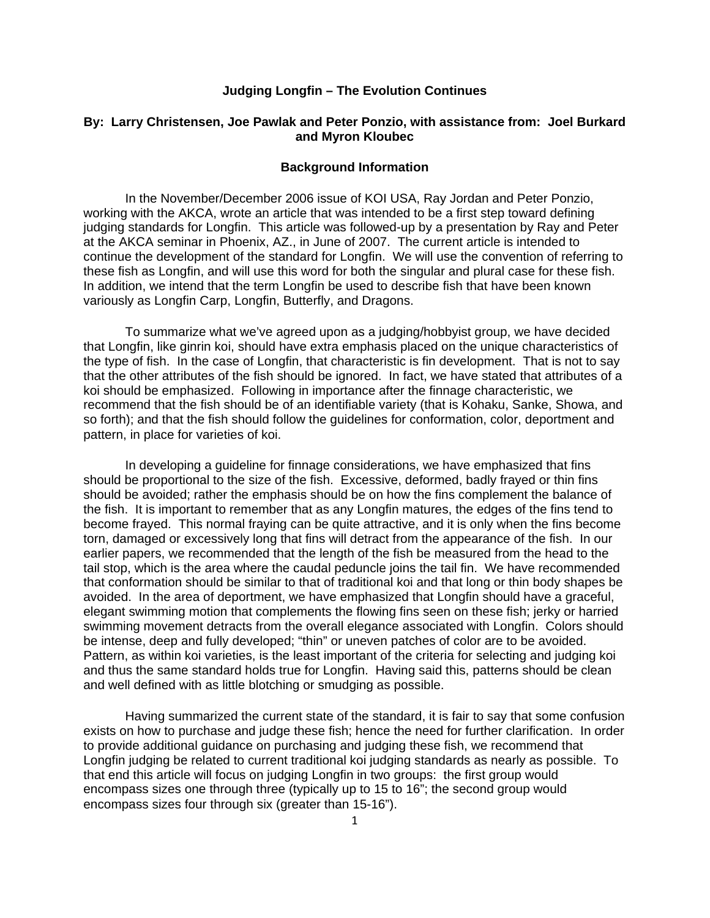# **Judging Longfin – The Evolution Continues**

# **By: Larry Christensen, Joe Pawlak and Peter Ponzio, with assistance from: Joel Burkard and Myron Kloubec**

#### **Background Information**

In the November/December 2006 issue of KOI USA, Ray Jordan and Peter Ponzio, working with the AKCA, wrote an article that was intended to be a first step toward defining judging standards for Longfin. This article was followed-up by a presentation by Ray and Peter at the AKCA seminar in Phoenix, AZ., in June of 2007. The current article is intended to continue the development of the standard for Longfin. We will use the convention of referring to these fish as Longfin, and will use this word for both the singular and plural case for these fish. In addition, we intend that the term Longfin be used to describe fish that have been known variously as Longfin Carp, Longfin, Butterfly, and Dragons.

To summarize what we've agreed upon as a judging/hobbyist group, we have decided that Longfin, like ginrin koi, should have extra emphasis placed on the unique characteristics of the type of fish. In the case of Longfin, that characteristic is fin development. That is not to say that the other attributes of the fish should be ignored. In fact, we have stated that attributes of a koi should be emphasized. Following in importance after the finnage characteristic, we recommend that the fish should be of an identifiable variety (that is Kohaku, Sanke, Showa, and so forth); and that the fish should follow the guidelines for conformation, color, deportment and pattern, in place for varieties of koi.

In developing a guideline for finnage considerations, we have emphasized that fins should be proportional to the size of the fish. Excessive, deformed, badly frayed or thin fins should be avoided; rather the emphasis should be on how the fins complement the balance of the fish. It is important to remember that as any Longfin matures, the edges of the fins tend to become frayed. This normal fraying can be quite attractive, and it is only when the fins become torn, damaged or excessively long that fins will detract from the appearance of the fish. In our earlier papers, we recommended that the length of the fish be measured from the head to the tail stop, which is the area where the caudal peduncle joins the tail fin. We have recommended that conformation should be similar to that of traditional koi and that long or thin body shapes be avoided. In the area of deportment, we have emphasized that Longfin should have a graceful, elegant swimming motion that complements the flowing fins seen on these fish; jerky or harried swimming movement detracts from the overall elegance associated with Longfin. Colors should be intense, deep and fully developed; "thin" or uneven patches of color are to be avoided. Pattern, as within koi varieties, is the least important of the criteria for selecting and judging koi and thus the same standard holds true for Longfin. Having said this, patterns should be clean and well defined with as little blotching or smudging as possible.

Having summarized the current state of the standard, it is fair to say that some confusion exists on how to purchase and judge these fish; hence the need for further clarification. In order to provide additional guidance on purchasing and judging these fish, we recommend that Longfin judging be related to current traditional koi judging standards as nearly as possible. To that end this article will focus on judging Longfin in two groups: the first group would encompass sizes one through three (typically up to 15 to 16"; the second group would encompass sizes four through six (greater than 15-16").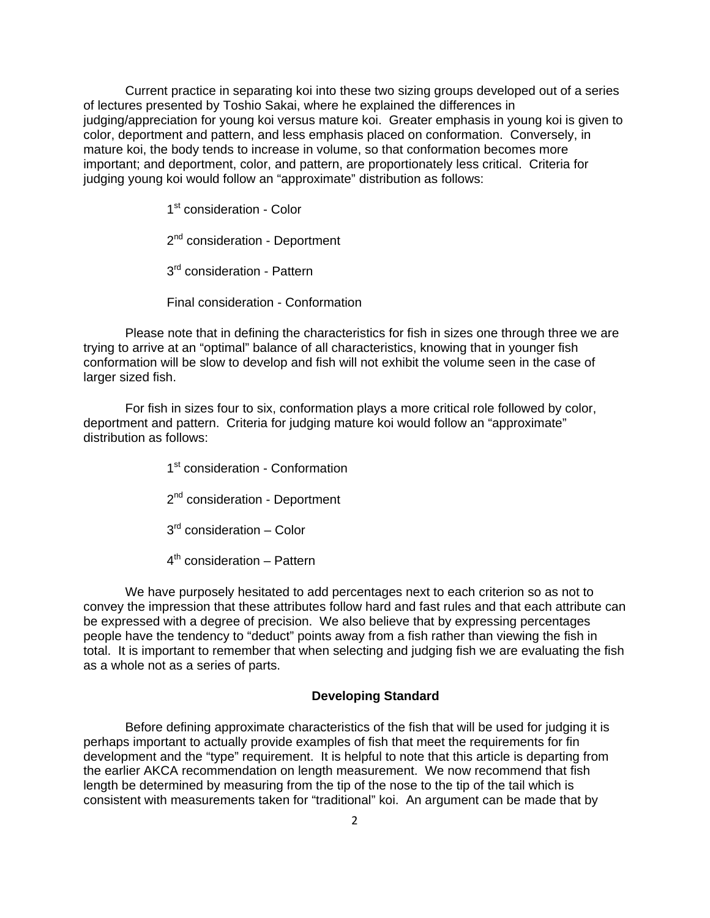Current practice in separating koi into these two sizing groups developed out of a series of lectures presented by Toshio Sakai, where he explained the differences in judging/appreciation for young koi versus mature koi. Greater emphasis in young koi is given to color, deportment and pattern, and less emphasis placed on conformation. Conversely, in mature koi, the body tends to increase in volume, so that conformation becomes more important; and deportment, color, and pattern, are proportionately less critical. Criteria for judging young koi would follow an "approximate" distribution as follows:

1<sup>st</sup> consideration - Color

2<sup>nd</sup> consideration - Deportment

3<sup>rd</sup> consideration - Pattern

Final consideration - Conformation

Please note that in defining the characteristics for fish in sizes one through three we are trying to arrive at an "optimal" balance of all characteristics, knowing that in younger fish conformation will be slow to develop and fish will not exhibit the volume seen in the case of larger sized fish.

For fish in sizes four to six, conformation plays a more critical role followed by color, deportment and pattern. Criteria for judging mature koi would follow an "approximate" distribution as follows:

1<sup>st</sup> consideration - Conformation

2<sup>nd</sup> consideration - Deportment

 $3<sup>rd</sup>$  consideration – Color

 $4<sup>th</sup>$  consideration – Pattern

We have purposely hesitated to add percentages next to each criterion so as not to convey the impression that these attributes follow hard and fast rules and that each attribute can be expressed with a degree of precision. We also believe that by expressing percentages people have the tendency to "deduct" points away from a fish rather than viewing the fish in total. It is important to remember that when selecting and judging fish we are evaluating the fish as a whole not as a series of parts.

### **Developing Standard**

Before defining approximate characteristics of the fish that will be used for judging it is perhaps important to actually provide examples of fish that meet the requirements for fin development and the "type" requirement. It is helpful to note that this article is departing from the earlier AKCA recommendation on length measurement. We now recommend that fish length be determined by measuring from the tip of the nose to the tip of the tail which is consistent with measurements taken for "traditional" koi. An argument can be made that by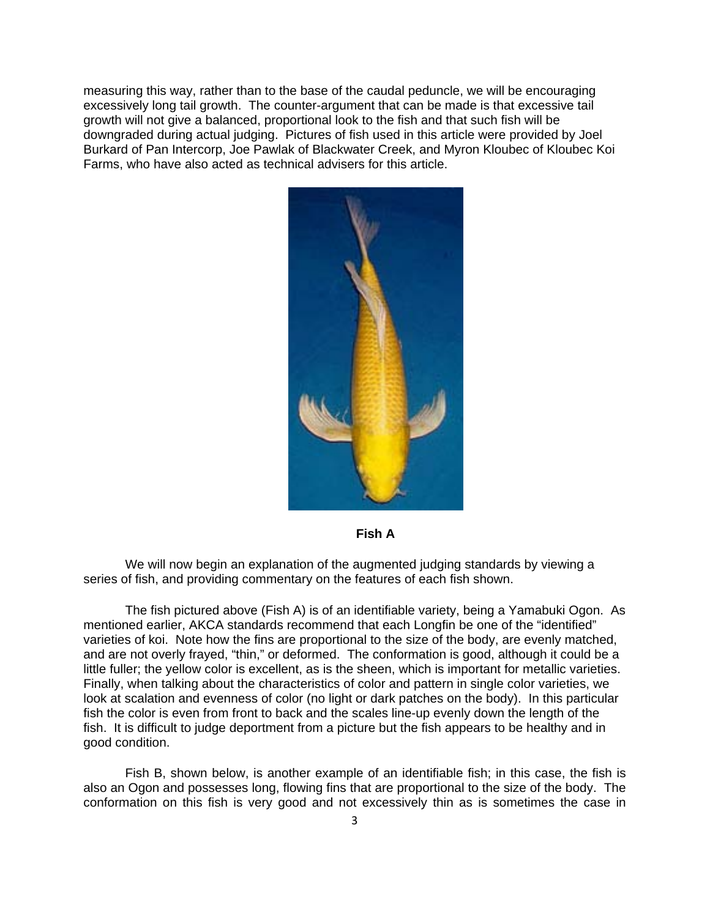measuring this way, rather than to the base of the caudal peduncle, we will be encouraging excessively long tail growth. The counter-argument that can be made is that excessive tail growth will not give a balanced, proportional look to the fish and that such fish will be downgraded during actual judging. Pictures of fish used in this article were provided by Joel Burkard of Pan Intercorp, Joe Pawlak of Blackwater Creek, and Myron Kloubec of Kloubec Koi Farms, who have also acted as technical advisers for this article.



**Fish A** 

We will now begin an explanation of the augmented judging standards by viewing a series of fish, and providing commentary on the features of each fish shown.

The fish pictured above (Fish A) is of an identifiable variety, being a Yamabuki Ogon. As mentioned earlier, AKCA standards recommend that each Longfin be one of the "identified" varieties of koi. Note how the fins are proportional to the size of the body, are evenly matched, and are not overly frayed, "thin," or deformed. The conformation is good, although it could be a little fuller; the yellow color is excellent, as is the sheen, which is important for metallic varieties. Finally, when talking about the characteristics of color and pattern in single color varieties, we look at scalation and evenness of color (no light or dark patches on the body). In this particular fish the color is even from front to back and the scales line-up evenly down the length of the fish. It is difficult to judge deportment from a picture but the fish appears to be healthy and in good condition.

Fish B, shown below, is another example of an identifiable fish; in this case, the fish is also an Ogon and possesses long, flowing fins that are proportional to the size of the body. The conformation on this fish is very good and not excessively thin as is sometimes the case in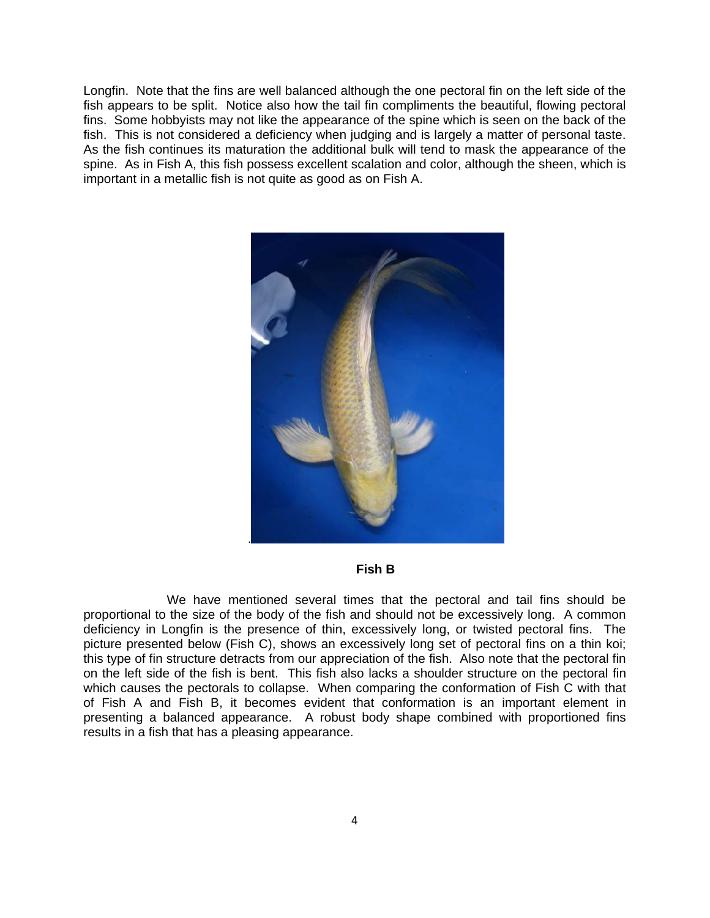Longfin. Note that the fins are well balanced although the one pectoral fin on the left side of the fish appears to be split. Notice also how the tail fin compliments the beautiful, flowing pectoral fins. Some hobbyists may not like the appearance of the spine which is seen on the back of the fish. This is not considered a deficiency when judging and is largely a matter of personal taste. As the fish continues its maturation the additional bulk will tend to mask the appearance of the spine. As in Fish A, this fish possess excellent scalation and color, although the sheen, which is important in a metallic fish is not quite as good as on Fish A.



# **Fish B**

 We have mentioned several times that the pectoral and tail fins should be proportional to the size of the body of the fish and should not be excessively long. A common deficiency in Longfin is the presence of thin, excessively long, or twisted pectoral fins. The picture presented below (Fish C), shows an excessively long set of pectoral fins on a thin koi; this type of fin structure detracts from our appreciation of the fish. Also note that the pectoral fin on the left side of the fish is bent. This fish also lacks a shoulder structure on the pectoral fin which causes the pectorals to collapse. When comparing the conformation of Fish C with that of Fish A and Fish B, it becomes evident that conformation is an important element in presenting a balanced appearance. A robust body shape combined with proportioned fins results in a fish that has a pleasing appearance.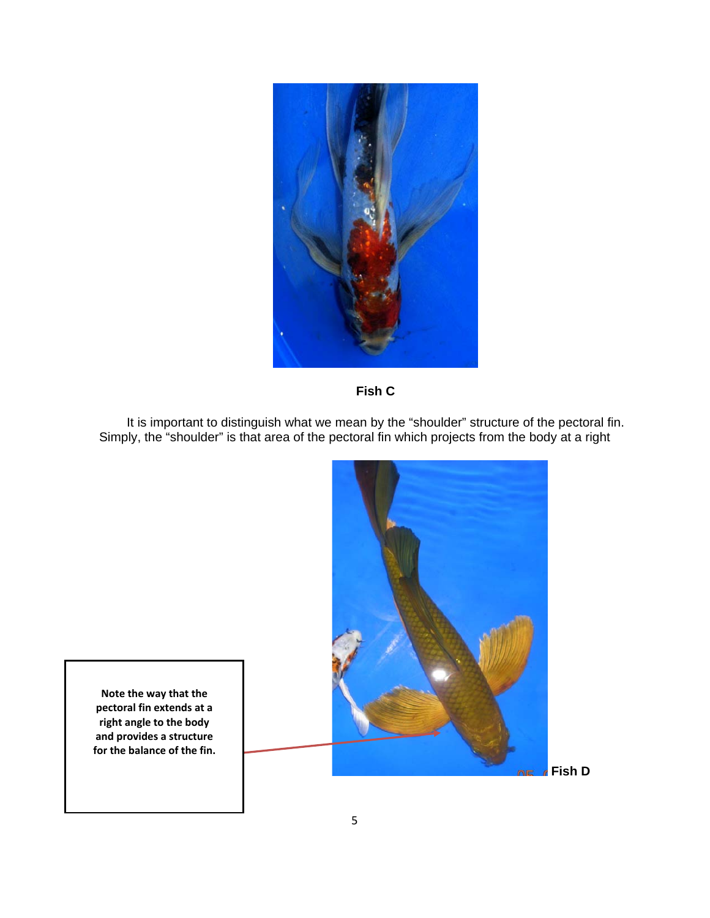



It is important to distinguish what we mean by the "shoulder" structure of the pectoral fin. Simply, the "shoulder" is that area of the pectoral fin which projects from the body at a right



**Note the way that the pectoral fin extends at a right angle to the body and provides a structure for the balance of the fin.**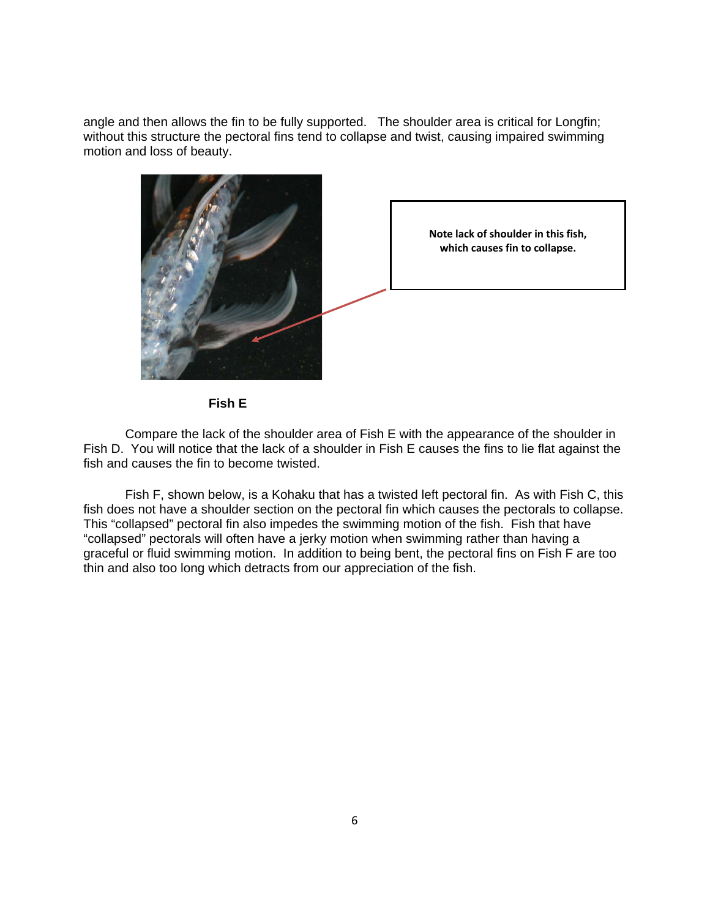angle and then allows the fin to be fully supported. The shoulder area is critical for Longfin; without this structure the pectoral fins tend to collapse and twist, causing impaired swimming motion and loss of beauty.



**Fish E** 

 Compare the lack of the shoulder area of Fish E with the appearance of the shoulder in Fish D. You will notice that the lack of a shoulder in Fish E causes the fins to lie flat against the fish and causes the fin to become twisted.

Fish F, shown below, is a Kohaku that has a twisted left pectoral fin. As with Fish C, this fish does not have a shoulder section on the pectoral fin which causes the pectorals to collapse. This "collapsed" pectoral fin also impedes the swimming motion of the fish. Fish that have "collapsed" pectorals will often have a jerky motion when swimming rather than having a graceful or fluid swimming motion. In addition to being bent, the pectoral fins on Fish F are too thin and also too long which detracts from our appreciation of the fish.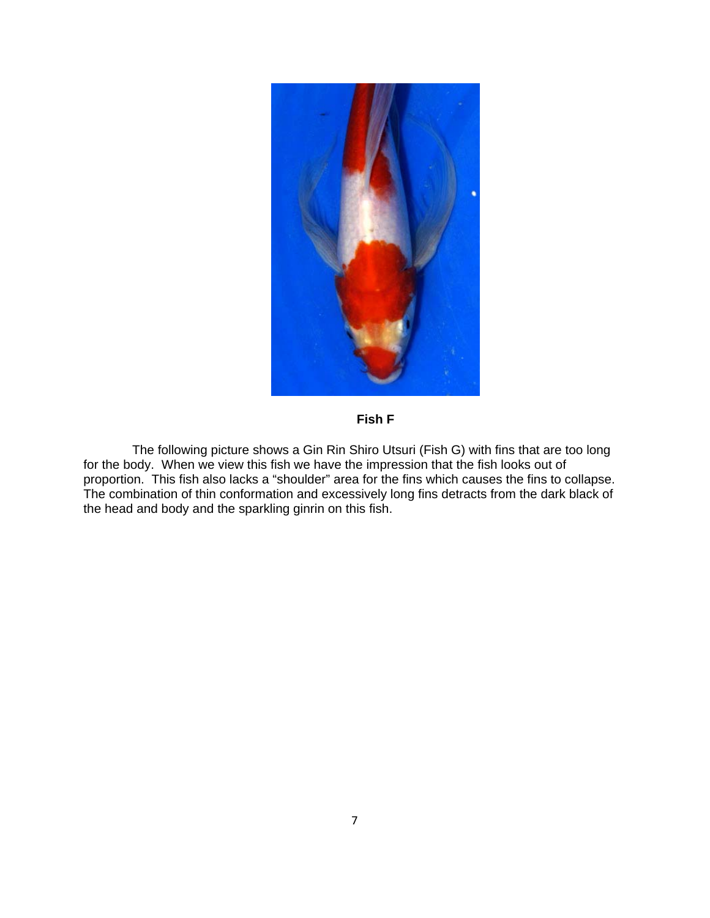

**Fish F** 

 The following picture shows a Gin Rin Shiro Utsuri (Fish G) with fins that are too long for the body. When we view this fish we have the impression that the fish looks out of proportion. This fish also lacks a "shoulder" area for the fins which causes the fins to collapse. The combination of thin conformation and excessively long fins detracts from the dark black of the head and body and the sparkling ginrin on this fish.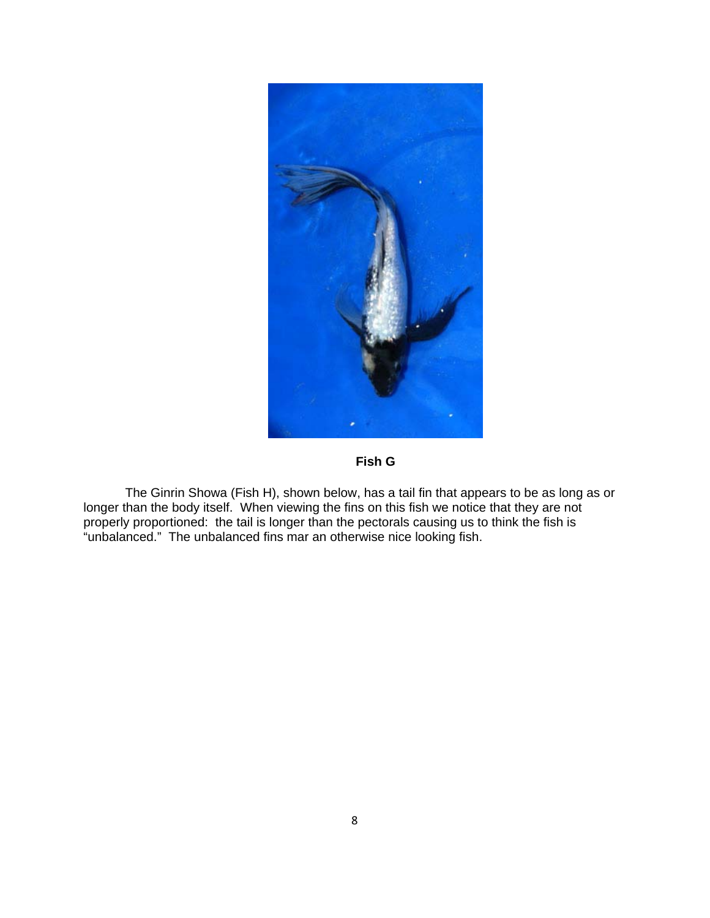

**Fish G** 

The Ginrin Showa (Fish H), shown below, has a tail fin that appears to be as long as or longer than the body itself. When viewing the fins on this fish we notice that they are not properly proportioned: the tail is longer than the pectorals causing us to think the fish is "unbalanced." The unbalanced fins mar an otherwise nice looking fish.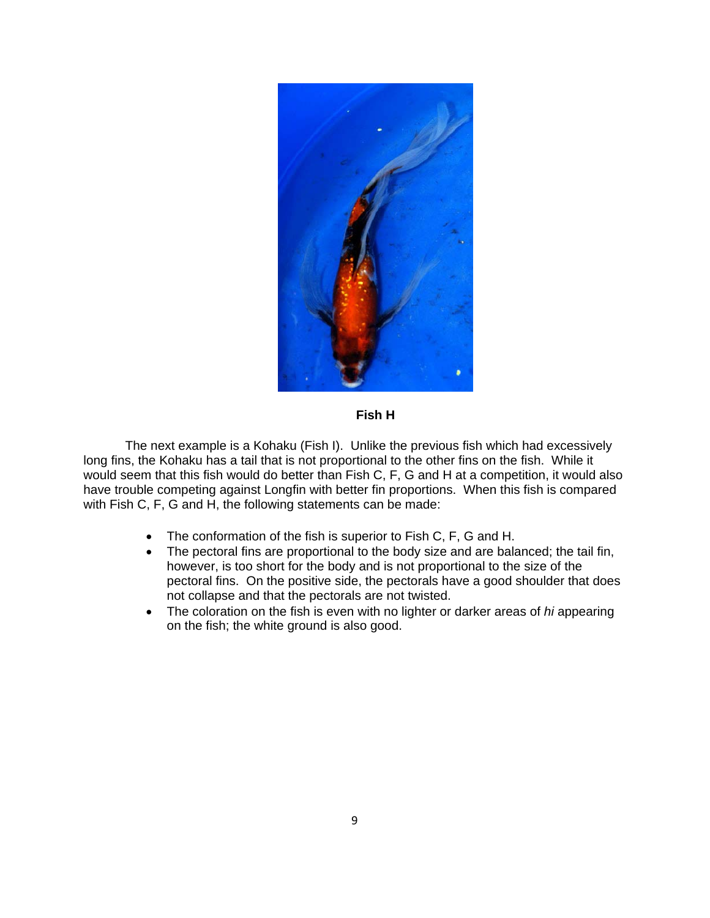

**Fish H** 

The next example is a Kohaku (Fish I). Unlike the previous fish which had excessively long fins, the Kohaku has a tail that is not proportional to the other fins on the fish. While it would seem that this fish would do better than Fish C, F, G and H at a competition, it would also have trouble competing against Longfin with better fin proportions. When this fish is compared with Fish C, F, G and H, the following statements can be made:

- The conformation of the fish is superior to Fish C, F, G and H.
- The pectoral fins are proportional to the body size and are balanced; the tail fin, however, is too short for the body and is not proportional to the size of the pectoral fins. On the positive side, the pectorals have a good shoulder that does not collapse and that the pectorals are not twisted.
- The coloration on the fish is even with no lighter or darker areas of *hi* appearing on the fish; the white ground is also good.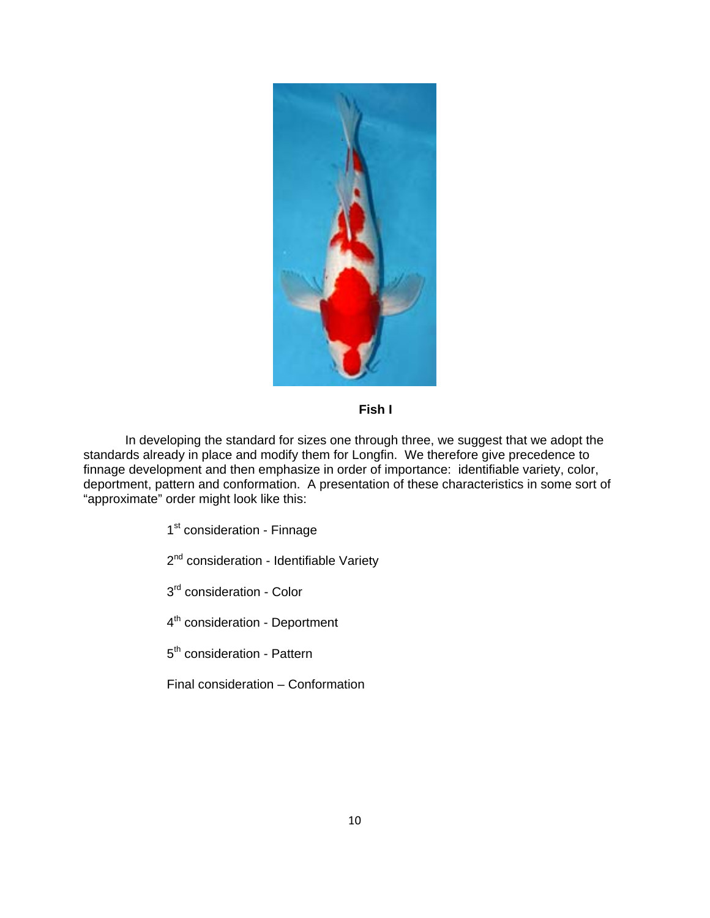

# **Fish I**

In developing the standard for sizes one through three, we suggest that we adopt the standards already in place and modify them for Longfin. We therefore give precedence to finnage development and then emphasize in order of importance: identifiable variety, color, deportment, pattern and conformation. A presentation of these characteristics in some sort of "approximate" order might look like this:

1<sup>st</sup> consideration - Finnage

2<sup>nd</sup> consideration - Identifiable Variety

3<sup>rd</sup> consideration - Color

4<sup>th</sup> consideration - Deportment

5<sup>th</sup> consideration - Pattern

Final consideration – Conformation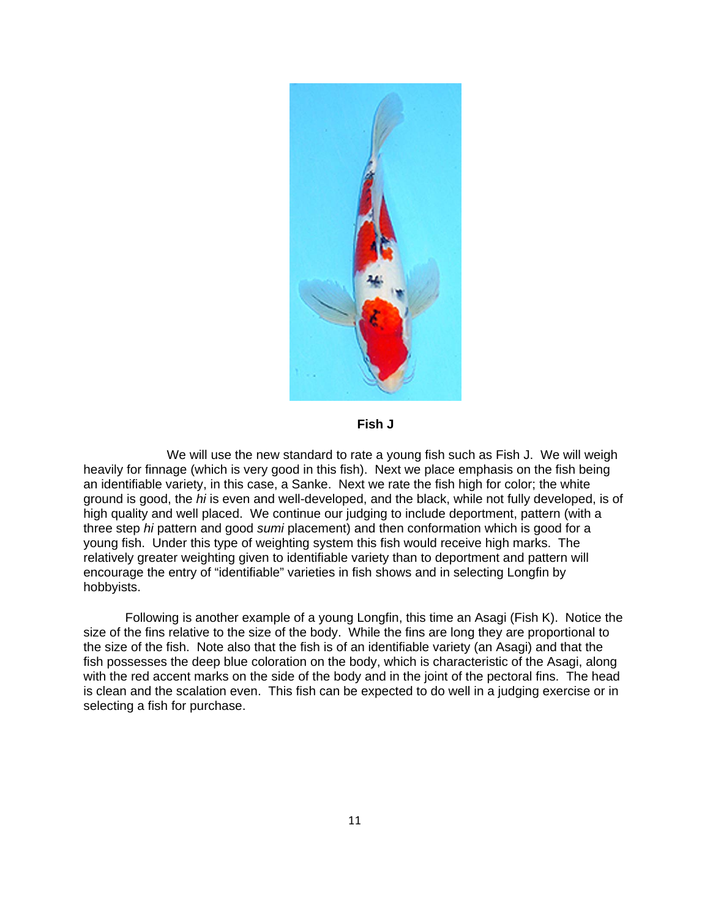

**Fish J** 

 We will use the new standard to rate a young fish such as Fish J. We will weigh heavily for finnage (which is very good in this fish). Next we place emphasis on the fish being an identifiable variety, in this case, a Sanke. Next we rate the fish high for color; the white ground is good, the *hi* is even and well-developed, and the black, while not fully developed, is of high quality and well placed. We continue our judging to include deportment, pattern (with a three step *hi* pattern and good *sumi* placement) and then conformation which is good for a young fish. Under this type of weighting system this fish would receive high marks. The relatively greater weighting given to identifiable variety than to deportment and pattern will encourage the entry of "identifiable" varieties in fish shows and in selecting Longfin by hobbyists.

Following is another example of a young Longfin, this time an Asagi (Fish K). Notice the size of the fins relative to the size of the body. While the fins are long they are proportional to the size of the fish. Note also that the fish is of an identifiable variety (an Asagi) and that the fish possesses the deep blue coloration on the body, which is characteristic of the Asagi, along with the red accent marks on the side of the body and in the joint of the pectoral fins. The head is clean and the scalation even. This fish can be expected to do well in a judging exercise or in selecting a fish for purchase.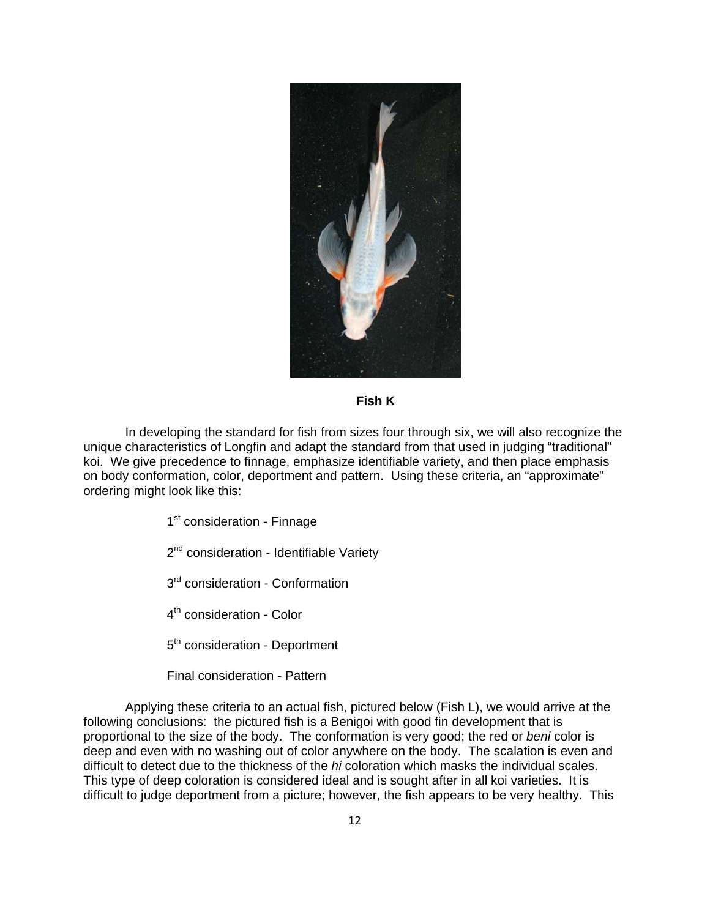

# **Fish K**

In developing the standard for fish from sizes four through six, we will also recognize the unique characteristics of Longfin and adapt the standard from that used in judging "traditional" koi. We give precedence to finnage, emphasize identifiable variety, and then place emphasis on body conformation, color, deportment and pattern. Using these criteria, an "approximate" ordering might look like this:

1<sup>st</sup> consideration - Finnage

2<sup>nd</sup> consideration - Identifiable Variety

3<sup>rd</sup> consideration - Conformation

4<sup>th</sup> consideration - Color

5<sup>th</sup> consideration - Deportment

Final consideration - Pattern

Applying these criteria to an actual fish, pictured below (Fish L), we would arrive at the following conclusions: the pictured fish is a Benigoi with good fin development that is proportional to the size of the body. The conformation is very good; the red or *beni* color is deep and even with no washing out of color anywhere on the body. The scalation is even and difficult to detect due to the thickness of the *hi* coloration which masks the individual scales. This type of deep coloration is considered ideal and is sought after in all koi varieties. It is difficult to judge deportment from a picture; however, the fish appears to be very healthy. This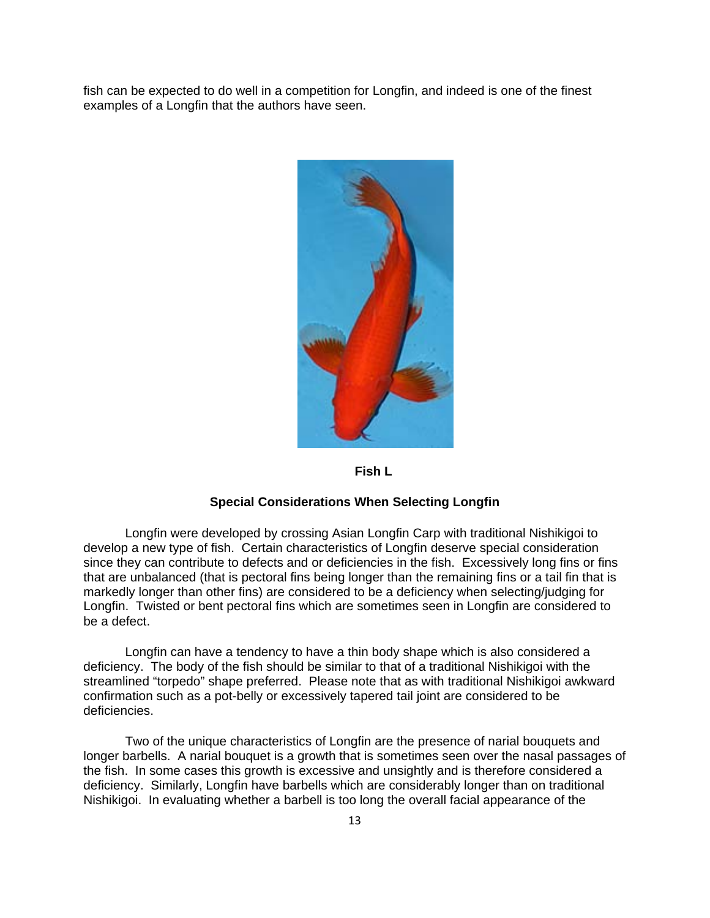fish can be expected to do well in a competition for Longfin, and indeed is one of the finest examples of a Longfin that the authors have seen.



**Fish L**

# **Special Considerations When Selecting Longfin**

 Longfin were developed by crossing Asian Longfin Carp with traditional Nishikigoi to develop a new type of fish. Certain characteristics of Longfin deserve special consideration since they can contribute to defects and or deficiencies in the fish. Excessively long fins or fins that are unbalanced (that is pectoral fins being longer than the remaining fins or a tail fin that is markedly longer than other fins) are considered to be a deficiency when selecting/judging for Longfin. Twisted or bent pectoral fins which are sometimes seen in Longfin are considered to be a defect.

 Longfin can have a tendency to have a thin body shape which is also considered a deficiency. The body of the fish should be similar to that of a traditional Nishikigoi with the streamlined "torpedo" shape preferred. Please note that as with traditional Nishikigoi awkward confirmation such as a pot-belly or excessively tapered tail joint are considered to be deficiencies.

 Two of the unique characteristics of Longfin are the presence of narial bouquets and longer barbells. A narial bouquet is a growth that is sometimes seen over the nasal passages of the fish. In some cases this growth is excessive and unsightly and is therefore considered a deficiency. Similarly, Longfin have barbells which are considerably longer than on traditional Nishikigoi. In evaluating whether a barbell is too long the overall facial appearance of the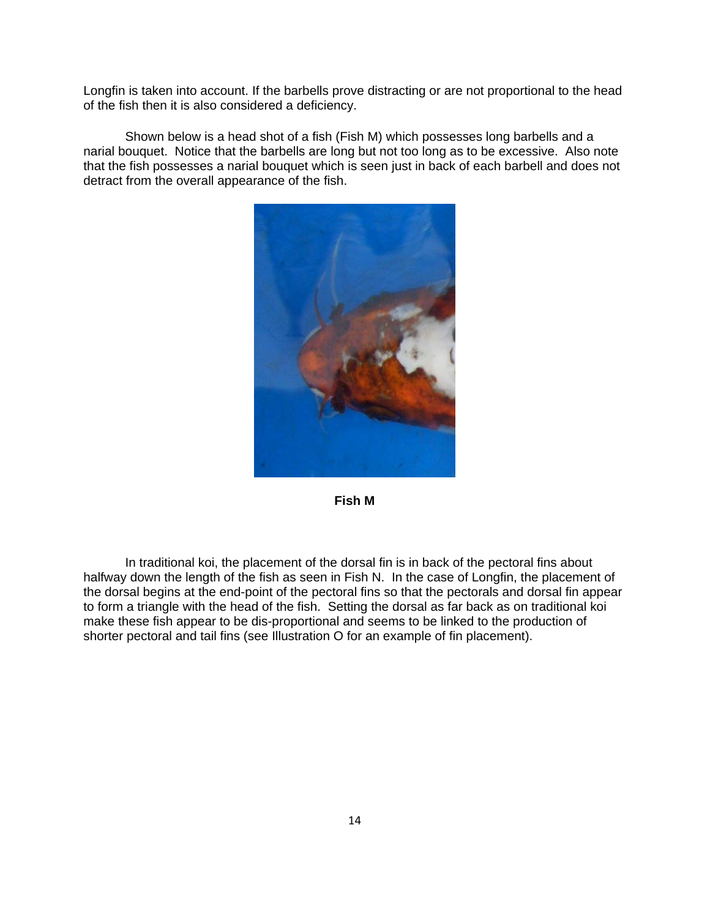Longfin is taken into account. If the barbells prove distracting or are not proportional to the head of the fish then it is also considered a deficiency.

 Shown below is a head shot of a fish (Fish M) which possesses long barbells and a narial bouquet. Notice that the barbells are long but not too long as to be excessive. Also note that the fish possesses a narial bouquet which is seen just in back of each barbell and does not detract from the overall appearance of the fish.



**Fish M** 

 In traditional koi, the placement of the dorsal fin is in back of the pectoral fins about halfway down the length of the fish as seen in Fish N. In the case of Longfin, the placement of the dorsal begins at the end-point of the pectoral fins so that the pectorals and dorsal fin appear to form a triangle with the head of the fish. Setting the dorsal as far back as on traditional koi make these fish appear to be dis-proportional and seems to be linked to the production of shorter pectoral and tail fins (see Illustration O for an example of fin placement).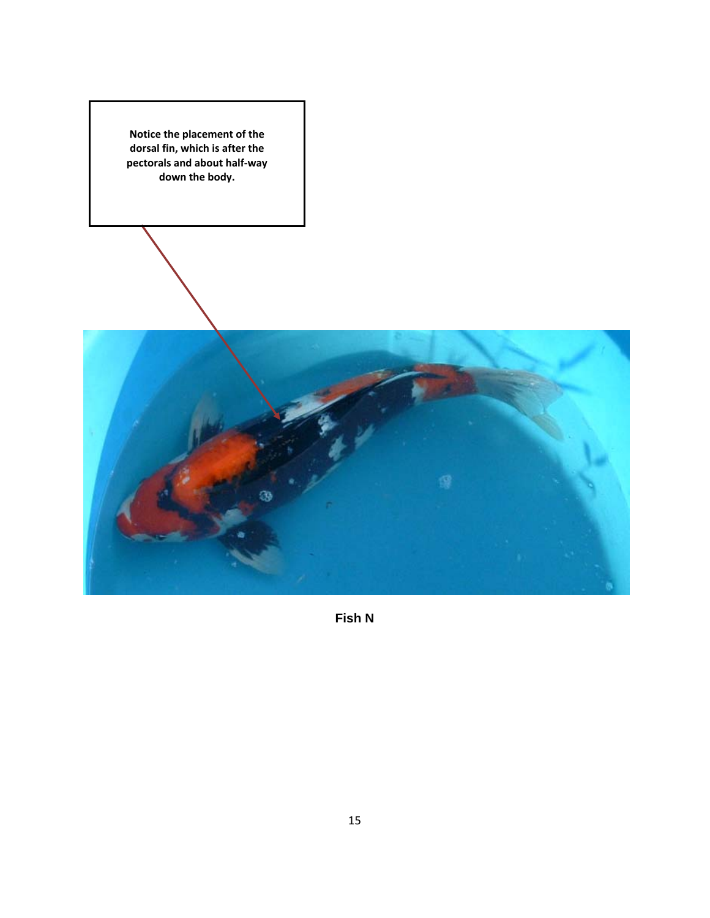**Notice the placement of the dorsal fin, which is after the pectorals and about half‐way down the body.**



**Fish N**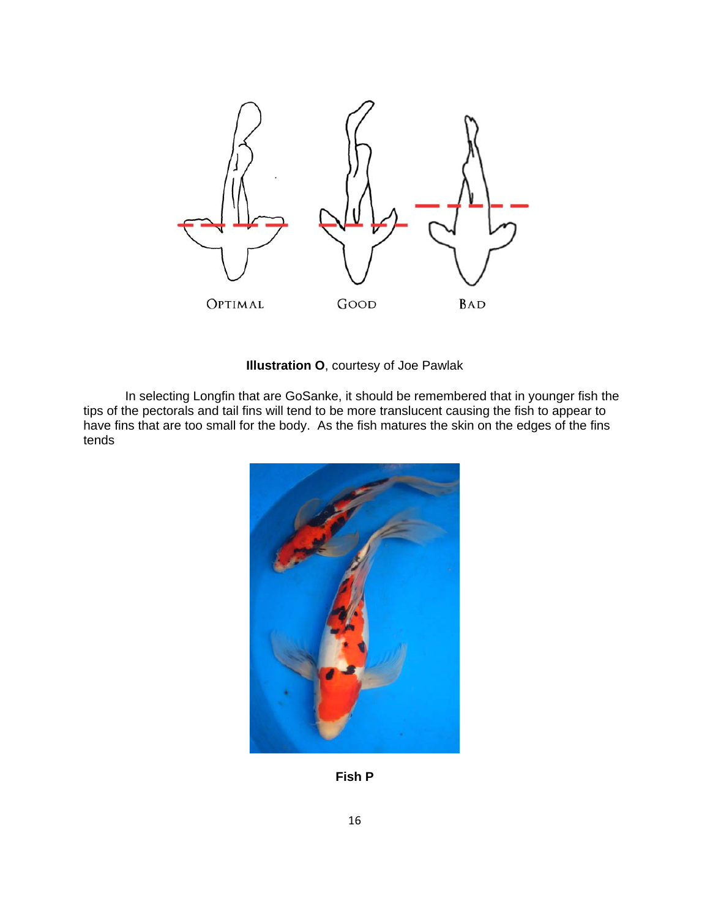

**Illustration O**, courtesy of Joe Pawlak

In selecting Longfin that are GoSanke, it should be remembered that in younger fish the tips of the pectorals and tail fins will tend to be more translucent causing the fish to appear to have fins that are too small for the body. As the fish matures the skin on the edges of the fins tends



**Fish P**